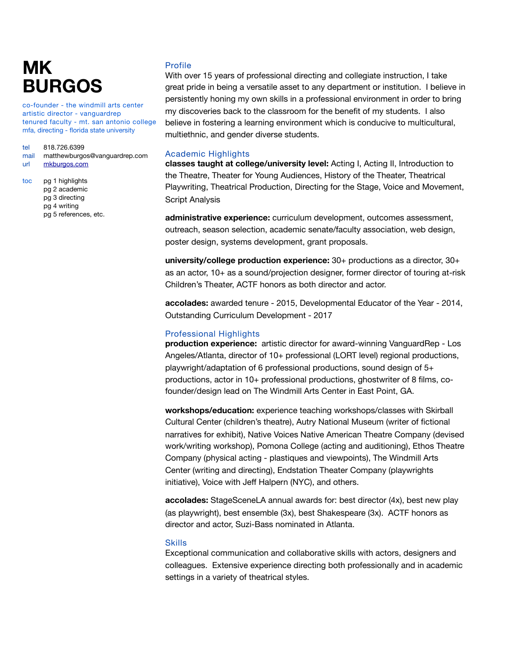co-founder - the windmill arts center artistic director - vanguardrep tenured faculty - mt. san antonio college mfa, directing - florida state university

#### tel 818.726.6399

- mail matthewburgos@vanguardrep.com
- url [mkburgos.com](http://mkburgos.com)
- toc pg 1 highlights pg 2 academic pg 3 directing pg 4 writing pg 5 references, etc.

### Profile

With over 15 years of professional directing and collegiate instruction, I take great pride in being a versatile asset to any department or institution. I believe in persistently honing my own skills in a professional environment in order to bring my discoveries back to the classroom for the benefit of my students. I also believe in fostering a learning environment which is conducive to multicultural, multiethnic, and gender diverse students.

### Academic Highlights

**classes taught at college/university level:** Acting I, Acting II, Introduction to the Theatre, Theater for Young Audiences, History of the Theater, Theatrical Playwriting, Theatrical Production, Directing for the Stage, Voice and Movement, Script Analysis

**administrative experience:** curriculum development, outcomes assessment, outreach, season selection, academic senate/faculty association, web design, poster design, systems development, grant proposals.

**university/college production experience:** 30+ productions as a director, 30+ as an actor, 10+ as a sound/projection designer, former director of touring at-risk Children's Theater, ACTF honors as both director and actor.

**accolades:** awarded tenure - 2015, Developmental Educator of the Year - 2014, Outstanding Curriculum Development - 2017

### Professional Highlights

**production experience:** artistic director for award-winning VanguardRep - Los Angeles/Atlanta, director of 10+ professional (LORT level) regional productions, playwright/adaptation of 6 professional productions, sound design of 5+ productions, actor in 10+ professional productions, ghostwriter of 8 films, cofounder/design lead on The Windmill Arts Center in East Point, GA.

**workshops/education:** experience teaching workshops/classes with Skirball Cultural Center (children's theatre), Autry National Museum (writer of fictional narratives for exhibit), Native Voices Native American Theatre Company (devised work/writing workshop), Pomona College (acting and auditioning), Ethos Theatre Company (physical acting - plastiques and viewpoints), The Windmill Arts Center (writing and directing), Endstation Theater Company (playwrights initiative), Voice with Jeff Halpern (NYC), and others.

**accolades:** StageSceneLA annual awards for: best director (4x), best new play (as playwright), best ensemble (3x), best Shakespeare (3x). ACTF honors as director and actor, Suzi-Bass nominated in Atlanta.

### **Skills**

Exceptional communication and collaborative skills with actors, designers and colleagues. Extensive experience directing both professionally and in academic settings in a variety of theatrical styles.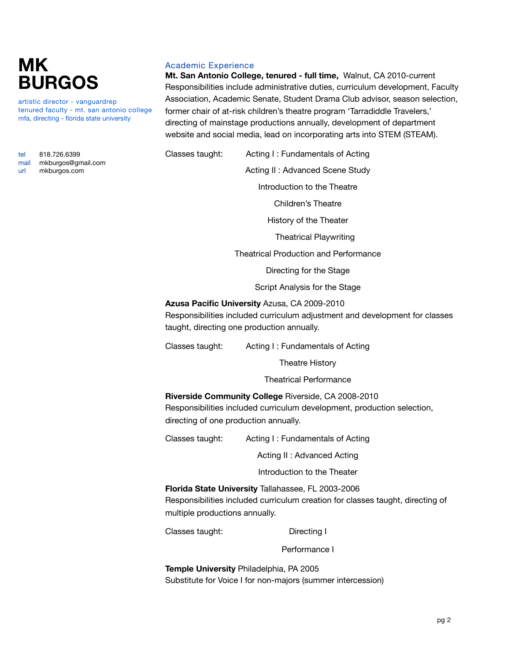artistic director - vanguardrep tenured faculty - mt. san antonio college mfa, directing - florida state university

tel 818.726.6399 mail [mkburgos@gmail.com](mailto:mkburgos@gmail.com?subject=Resum%C3%A9%20Inquiry) url [mkburgos.com](http://mkburgos.com/)

# Academic Experience

**Mt. San Antonio College, tenured - full time,** Walnut, CA 2010-current Responsibilities include administrative duties, curriculum development, Faculty Association, Academic Senate, Student Drama Club advisor, season selection, former chair of at-risk children's theatre program 'Tarradiddle Travelers,' directing of mainstage productions annually, development of department website and social media, lead on incorporating arts into STEM (STEAM).

Classes taught: Acting I : Fundamentals of Acting Acting II : Advanced Scene Study

 Introduction to the Theatre

 Children's Theatre

 History of the Theater

Theatrical Playwriting

 Theatrical Production and Performance

 Directing for the Stage

 Script Analysis for the Stage

**Azusa Pacific University** Azusa, CA 2009-2010

Responsibilities included curriculum adjustment and development for classes taught, directing one production annually.

Classes taught: Acting I : Fundamentals of Acting

 Theatre History

 Theatrical Performance

**Riverside Community College** Riverside, CA 2008-2010 Responsibilities included curriculum development, production selection, directing of one production annually.

Classes taught: Acting I : Fundamentals of Acting

 Acting II : Advanced Acting

 Introduction to the Theater

**Florida State University** Tallahassee, FL 2003-2006 Responsibilities included curriculum creation for classes taught, directing of multiple productions annually.

Classes taught: Directing I

 Performance I

**Temple University** Philadelphia, PA 2005 Substitute for Voice I for non-majors (summer intercession)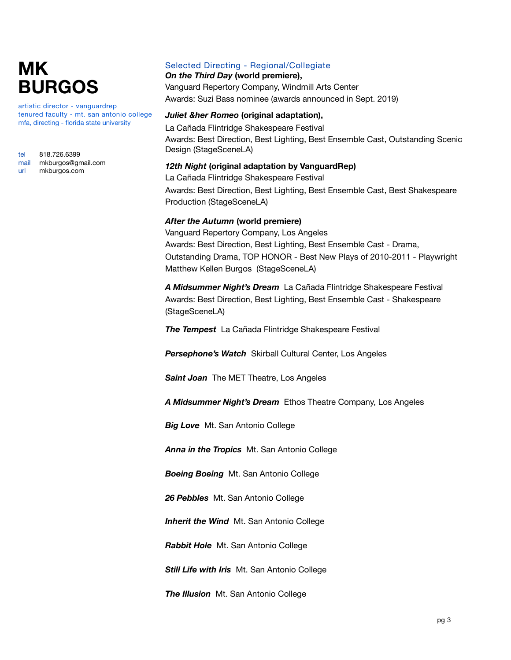artistic director - vanguardrep tenured faculty - mt. san antonio college mfa, directing - florida state university

| tel  | 818.726.6399       |
|------|--------------------|
| mail | mkburgos@gmail.com |
| url  | mkburgos.com       |

## Selected Directing - Regional/Collegiate

*On the Third Day* **(world premiere),**  Vanguard Repertory Company, Windmill Arts Center Awards: Suzi Bass nominee (awards announced in Sept. 2019)

### *Juliet &her Romeo* **(original adaptation),**

La Cañada Flintridge Shakespeare Festival Awards: Best Direction, Best Lighting, Best Ensemble Cast, Outstanding Scenic Design (StageSceneLA)

#### *12th Night* **(original adaptation by VanguardRep)**

La Cañada Flintridge Shakespeare Festival Awards: Best Direction, Best Lighting, Best Ensemble Cast, Best Shakespeare Production (StageSceneLA)

## *After the Autumn* **(world premiere)**

Vanguard Repertory Company, Los Angeles Awards: Best Direction, Best Lighting, Best Ensemble Cast - Drama, Outstanding Drama, TOP HONOR - Best New Plays of 2010-2011 - Playwright Matthew Kellen Burgos (StageSceneLA)

*A Midsummer Night's Dream* La Cañada Flintridge Shakespeare Festival Awards: Best Direction, Best Lighting, Best Ensemble Cast - Shakespeare (StageSceneLA)

*The Tempest* La Cañada Flintridge Shakespeare Festival

*Persephone's Watch* Skirball Cultural Center, Los Angeles

*Saint Joan* The MET Theatre, Los Angeles

*A Midsummer Night's Dream* Ethos Theatre Company, Los Angeles

*Big Love* Mt. San Antonio College

*Anna in the Tropics* Mt. San Antonio College

*Boeing Boeing* Mt. San Antonio College

*26 Pebbles* Mt. San Antonio College

*Inherit the Wind* Mt. San Antonio College

*Rabbit Hole* Mt. San Antonio College

*Still Life with Iris* Mt. San Antonio College

*The Illusion* Mt. San Antonio College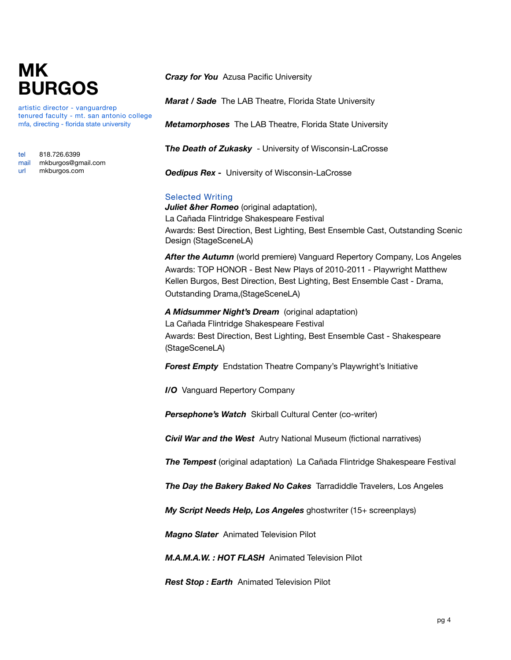artistic director - vanguardrep tenured faculty - mt. san antonio college mfa, directing - florida state university

| tel  | 818.726.6399       |
|------|--------------------|
| mail | mkburgos@gmail.com |
| url  | mkburgos.com       |

*Crazy for You* Azusa Pacific University

*Marat / Sade* The LAB Theatre, Florida State University

*Metamorphoses* The LAB Theatre, Florida State University

**T***he Death of Zukasky* - University of Wisconsin-LaCrosse

**Oedipus Rex** - University of Wisconsin-LaCrosse

## Selected Writing

*Juliet &her Romeo* (original adaptation), La Cañada Flintridge Shakespeare Festival Awards: Best Direction, Best Lighting, Best Ensemble Cast, Outstanding Scenic Design (StageSceneLA)

*After the Autumn* (world premiere) Vanguard Repertory Company, Los Angeles Awards: TOP HONOR - Best New Plays of 2010-2011 - Playwright Matthew Kellen Burgos, Best Direction, Best Lighting, Best Ensemble Cast - Drama, Outstanding Drama,(StageSceneLA)

*A Midsummer Night's Dream* (original adaptation) La Cañada Flintridge Shakespeare Festival Awards: Best Direction, Best Lighting, Best Ensemble Cast - Shakespeare (StageSceneLA)

*Forest Empty* Endstation Theatre Company's Playwright's Initiative

*I/O* Vanguard Repertory Company

*Persephone's Watch* Skirball Cultural Center (co-writer)

*Civil War and the West* Autry National Museum (fictional narratives)

*The Tempest* (original adaptation) La Cañada Flintridge Shakespeare Festival

**The Day the Bakery Baked No Cakes** Tarradiddle Travelers, Los Angeles

*My Script Needs Help, Los Angeles* ghostwriter (15+ screenplays)

*Magno Slater* Animated Television Pilot

*M.A.M.A.W. : HOT FLASH* Animated Television Pilot

*Rest Stop : Earth* Animated Television Pilot